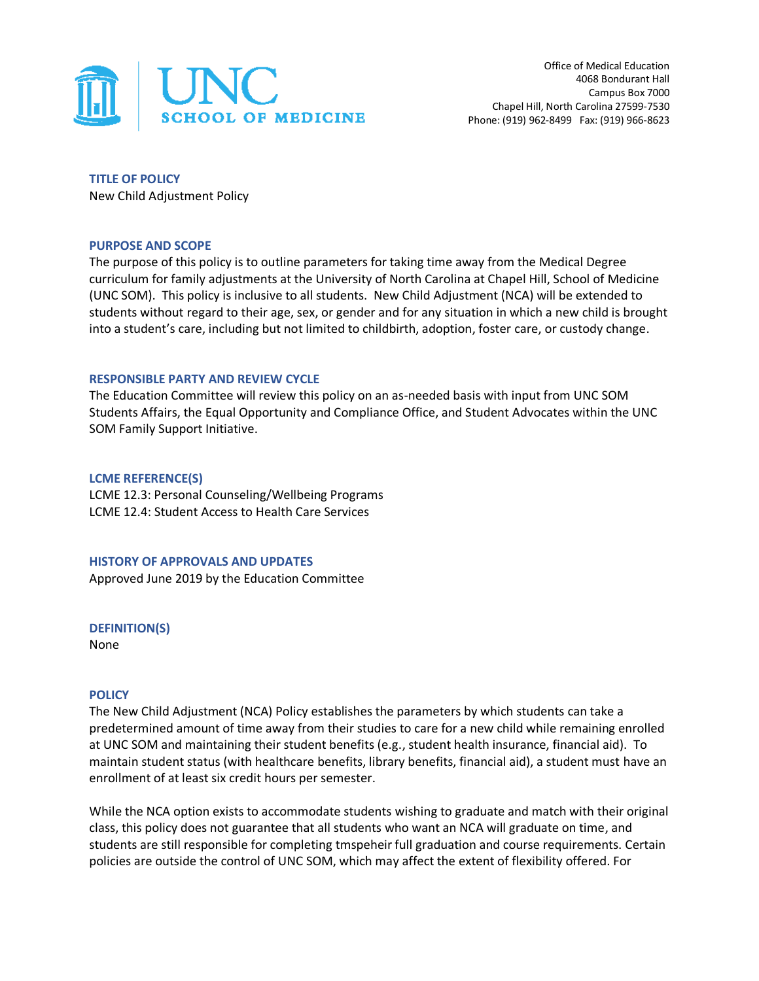

**TITLE OF POLICY** New Child Adjustment Policy

#### **PURPOSE AND SCOPE**

The purpose of this policy is to outline parameters for taking time away from the Medical Degree curriculum for family adjustments at the University of North Carolina at Chapel Hill, School of Medicine (UNC SOM). This policy is inclusive to all students. New Child Adjustment (NCA) will be extended to students without regard to their age, sex, or gender and for any situation in which a new child is brought into a student's care, including but not limited to childbirth, adoption, foster care, or custody change.

#### **RESPONSIBLE PARTY AND REVIEW CYCLE**

The Education Committee will review this policy on an as-needed basis with input from UNC SOM Students Affairs, the Equal Opportunity and Compliance Office, and Student Advocates within the UNC SOM Family Support Initiative.

#### **LCME REFERENCE(S)**

LCME 12.3: Personal Counseling/Wellbeing Programs LCME 12.4: Student Access to Health Care Services

### **HISTORY OF APPROVALS AND UPDATES**

Approved June 2019 by the Education Committee

**DEFINITION(S)**

None

### **POLICY**

The New Child Adjustment (NCA) Policy establishes the parameters by which students can take a predetermined amount of time away from their studies to care for a new child while remaining enrolled at UNC SOM and maintaining their student benefits (e.g., student health insurance, financial aid). To maintain student status (with healthcare benefits, library benefits, financial aid), a student must have an enrollment of at least six credit hours per semester.

While the NCA option exists to accommodate students wishing to graduate and match with their original class, this policy does not guarantee that all students who want an NCA will graduate on time, and students are still responsible for completing tmspeheir full graduation and course requirements. Certain policies are outside the control of UNC SOM, which may affect the extent of flexibility offered. For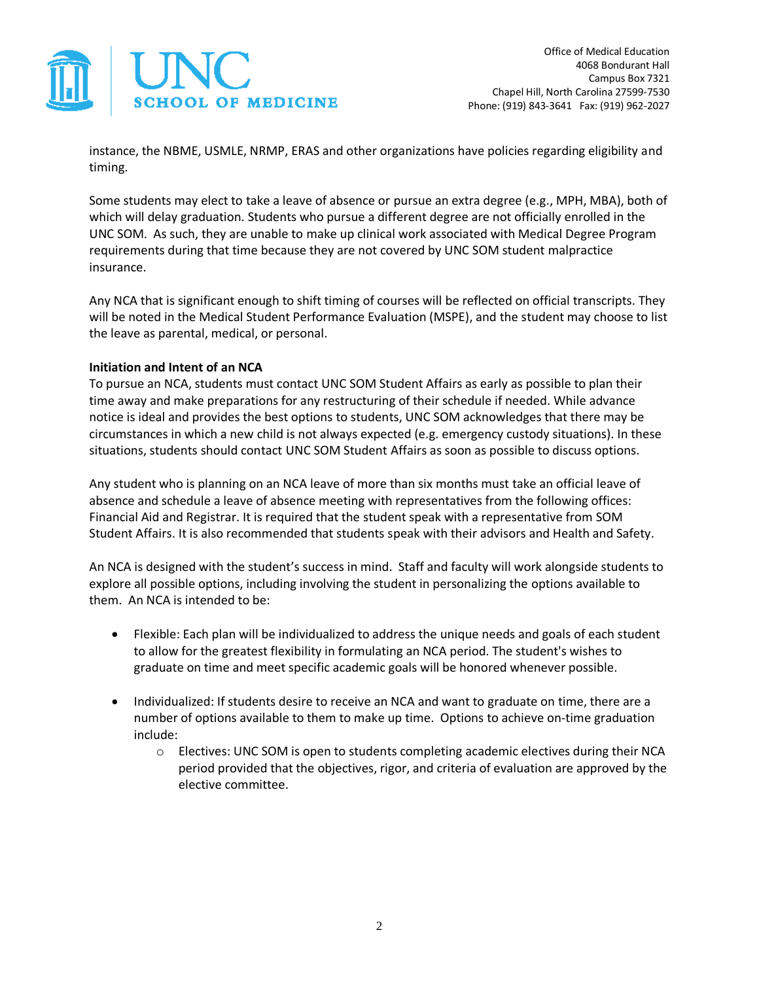

instance, the NBME, USMLE, NRMP, ERAS and other organizations have policies regarding eligibility and timing.

Some students may elect to take a leave of absence or pursue an extra degree (e.g., MPH, MBA), both of which will delay graduation. Students who pursue a different degree are not officially enrolled in the UNC SOM. As such, they are unable to make up clinical work associated with Medical Degree Program requirements during that time because they are not covered by UNC SOM student malpractice insurance.

Any NCA that is significant enough to shift timing of courses will be reflected on official transcripts. They will be noted in the Medical Student Performance Evaluation (MSPE), and the student may choose to list the leave as parental, medical, or personal.

# **Initiation and Intent of an NCA**

To pursue an NCA, students must contact UNC SOM Student Affairs as early as possible to plan their time away and make preparations for any restructuring of their schedule if needed. While advance notice is ideal and provides the best options to students, UNC SOM acknowledges that there may be circumstances in which a new child is not always expected (e.g. emergency custody situations). In these situations, students should contact UNC SOM Student Affairs as soon as possible to discuss options.

Any student who is planning on an NCA leave of more than six months must take an official leave of absence and schedule a leave of absence meeting with representatives from the following offices: Financial Aid and Registrar. It is required that the student speak with a representative from SOM Student Affairs. It is also recommended that students speak with their advisors and Health and Safety.

An NCA is designed with the student's success in mind. Staff and faculty will work alongside students to explore all possible options, including involving the student in personalizing the options available to them. An NCA is intended to be:

- Flexible: Each plan will be individualized to address the unique needs and goals of each student to allow for the greatest flexibility in formulating an NCA period. The student's wishes to graduate on time and meet specific academic goals will be honored whenever possible.
- Individualized: If students desire to receive an NCA and want to graduate on time, there are a number of options available to them to make up time. Options to achieve on-time graduation include:
	- o Electives: UNC SOM is open to students completing academic electives during their NCA period provided that the objectives, rigor, and criteria of evaluation are approved by the elective committee.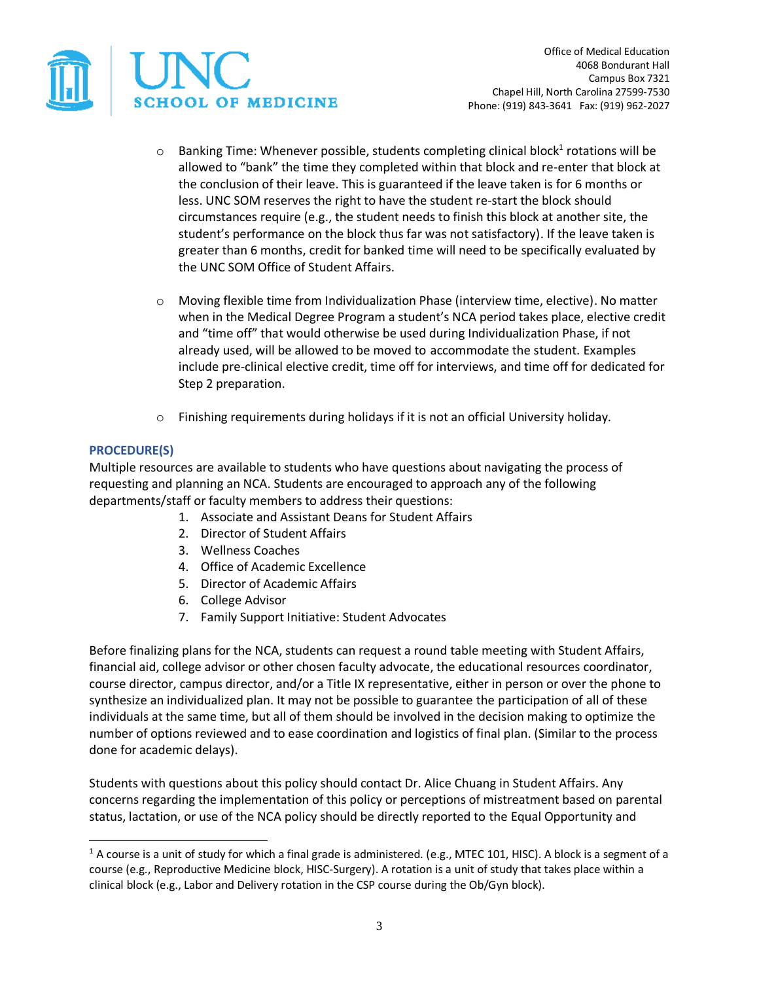

Office of Medical Education 4068 Bondurant Hall Campus Box 7321 Chapel Hill, North Carolina 27599-7530 Phone: (919) 843-3641 Fax: (919) 962-2027

- $\circ$  Banking Time: Whenever possible, students completing clinical block<sup>1</sup> rotations will be allowed to "bank" the time they completed within that block and re-enter that block at the conclusion of their leave. This is guaranteed if the leave taken is for 6 months or less. UNC SOM reserves the right to have the student re-start the block should circumstances require (e.g., the student needs to finish this block at another site, the student's performance on the block thus far was not satisfactory). If the leave taken is greater than 6 months, credit for banked time will need to be specifically evaluated by the UNC SOM Office of Student Affairs.
- o Moving flexible time from Individualization Phase (interview time, elective). No matter when in the Medical Degree Program a student's NCA period takes place, elective credit and "time off" that would otherwise be used during Individualization Phase, if not already used, will be allowed to be moved to accommodate the student. Examples include pre-clinical elective credit, time off for interviews, and time off for dedicated for Step 2 preparation.
- $\circ$  Finishing requirements during holidays if it is not an official University holiday.

### **PROCEDURE(S)**

 $\overline{a}$ 

Multiple resources are available to students who have questions about navigating the process of requesting and planning an NCA. Students are encouraged to approach any of the following departments/staff or faculty members to address their questions:

- 1. Associate and Assistant Deans for Student Affairs
- 2. Director of Student Affairs
- 3. Wellness Coaches
- 4. Office of Academic Excellence
- 5. Director of Academic Affairs
- 6. College Advisor
- 7. Family Support Initiative: Student Advocates

Before finalizing plans for the NCA, students can request a round table meeting with Student Affairs, financial aid, college advisor or other chosen faculty advocate, the educational resources coordinator, course director, campus director, and/or a Title IX representative, either in person or over the phone to synthesize an individualized plan. It may not be possible to guarantee the participation of all of these individuals at the same time, but all of them should be involved in the decision making to optimize the number of options reviewed and to ease coordination and logistics of final plan. (Similar to the process done for academic delays).

Students with questions about this policy should contact Dr. Alice Chuang in Student Affairs. Any concerns regarding the implementation of this policy or perceptions of mistreatment based on parental status, lactation, or use of the NCA policy should be directly reported to the Equal Opportunity and

 $1$  A course is a unit of study for which a final grade is administered. (e.g., MTEC 101, HISC). A block is a segment of a course (e.g., Reproductive Medicine block, HISC-Surgery). A rotation is a unit of study that takes place within a clinical block (e.g., Labor and Delivery rotation in the CSP course during the Ob/Gyn block).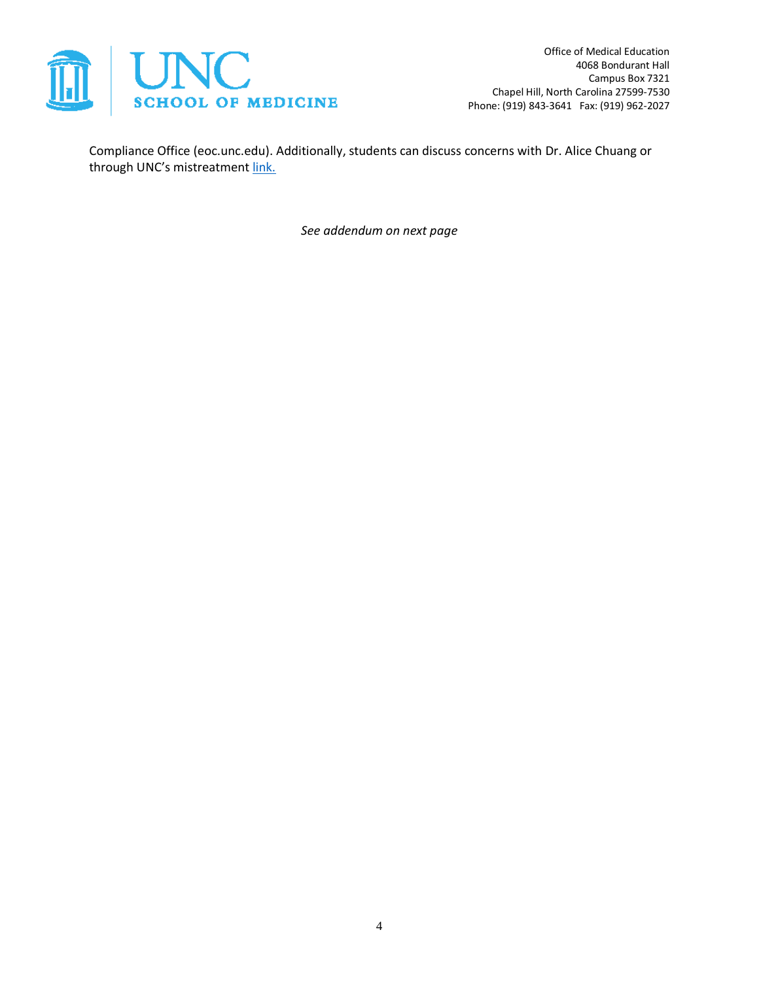

Office of Medical Education 4068 Bondurant Hall Campus Box 7321 Chapel Hill, North Carolina 27599-7530 Phone: (919) 843-3641 Fax: (919) 962-2027

Compliance Office (eoc.unc.edu). Additionally, students can discuss concerns with Dr. Alice Chuang or through UNC's mistreatment [link.](https://www.med.unc.edu/md/governance/mistreatment/)

*See addendum on next page*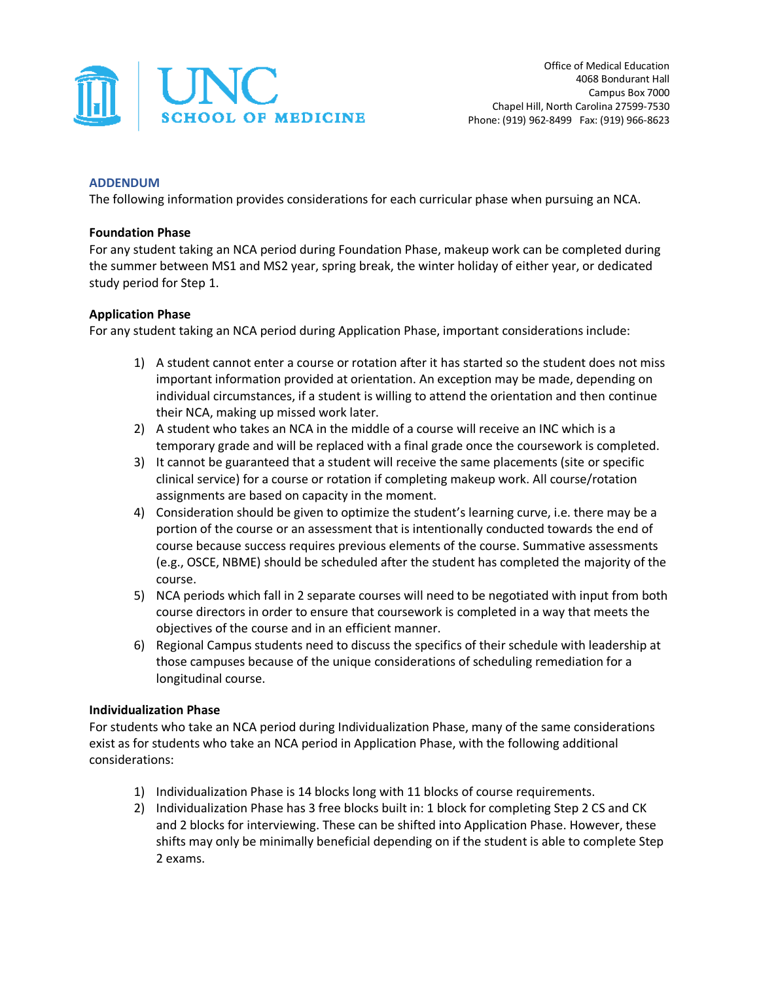

## **ADDENDUM**

The following information provides considerations for each curricular phase when pursuing an NCA.

## **Foundation Phase**

For any student taking an NCA period during Foundation Phase, makeup work can be completed during the summer between MS1 and MS2 year, spring break, the winter holiday of either year, or dedicated study period for Step 1.

# **Application Phase**

For any student taking an NCA period during Application Phase, important considerations include:

- 1) A student cannot enter a course or rotation after it has started so the student does not miss important information provided at orientation. An exception may be made, depending on individual circumstances, if a student is willing to attend the orientation and then continue their NCA, making up missed work later.
- 2) A student who takes an NCA in the middle of a course will receive an INC which is a temporary grade and will be replaced with a final grade once the coursework is completed.
- 3) It cannot be guaranteed that a student will receive the same placements (site or specific clinical service) for a course or rotation if completing makeup work. All course/rotation assignments are based on capacity in the moment.
- 4) Consideration should be given to optimize the student's learning curve, i.e. there may be a portion of the course or an assessment that is intentionally conducted towards the end of course because success requires previous elements of the course. Summative assessments (e.g., OSCE, NBME) should be scheduled after the student has completed the majority of the course.
- 5) NCA periods which fall in 2 separate courses will need to be negotiated with input from both course directors in order to ensure that coursework is completed in a way that meets the objectives of the course and in an efficient manner.
- 6) Regional Campus students need to discuss the specifics of their schedule with leadership at those campuses because of the unique considerations of scheduling remediation for a longitudinal course.

### **Individualization Phase**

For students who take an NCA period during Individualization Phase, many of the same considerations exist as for students who take an NCA period in Application Phase, with the following additional considerations:

- 1) Individualization Phase is 14 blocks long with 11 blocks of course requirements.
- 2) Individualization Phase has 3 free blocks built in: 1 block for completing Step 2 CS and CK and 2 blocks for interviewing. These can be shifted into Application Phase. However, these shifts may only be minimally beneficial depending on if the student is able to complete Step 2 exams.